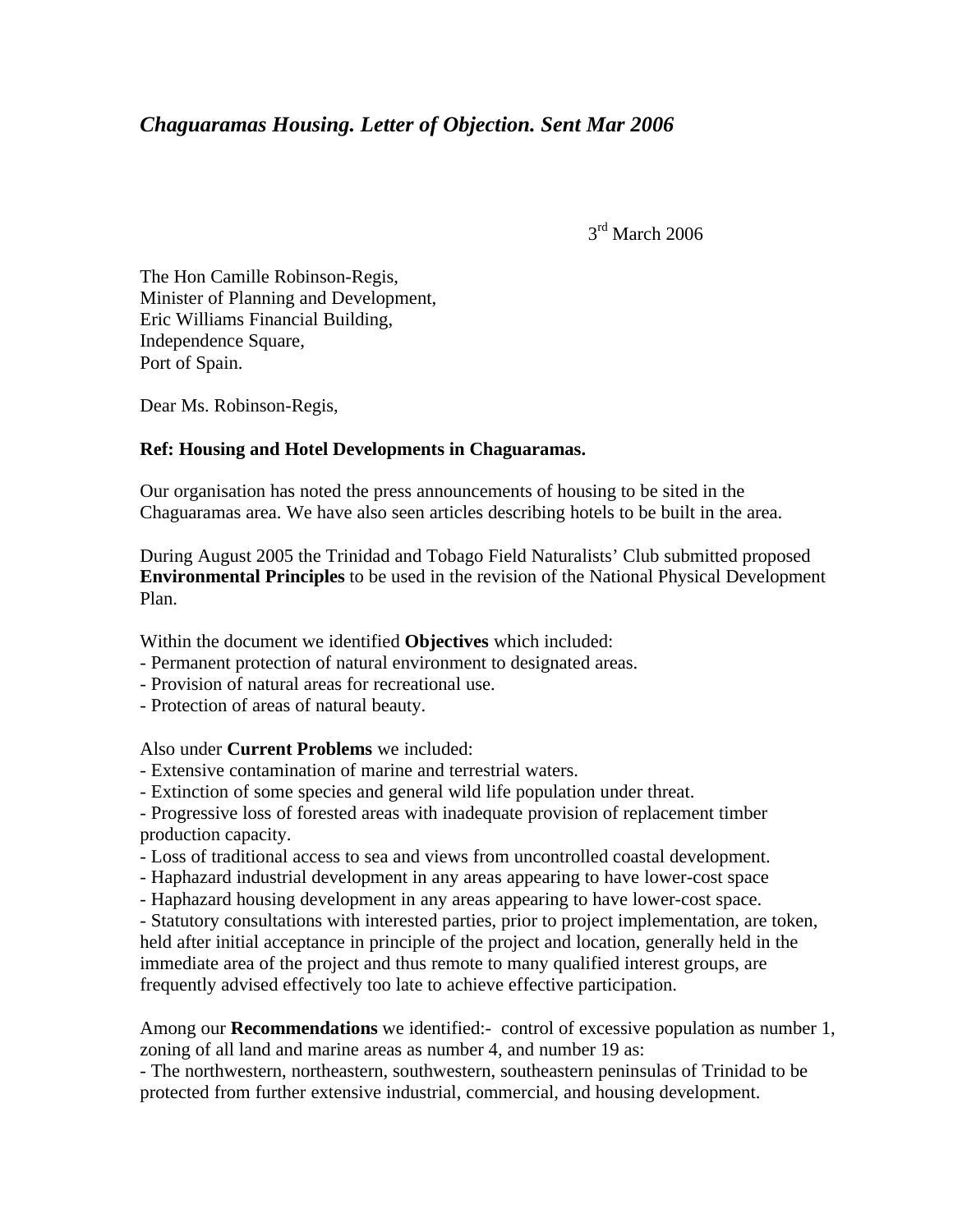## *Chaguaramas Housing. Letter of Objection. Sent Mar 2006*

3<sup>rd</sup> March 2006

The Hon Camille Robinson-Regis, Minister of Planning and Development, Eric Williams Financial Building, Independence Square, Port of Spain.

Dear Ms. Robinson-Regis,

## **Ref: Housing and Hotel Developments in Chaguaramas.**

Our organisation has noted the press announcements of housing to be sited in the Chaguaramas area. We have also seen articles describing hotels to be built in the area.

During August 2005 the Trinidad and Tobago Field Naturalists' Club submitted proposed **Environmental Principles** to be used in the revision of the National Physical Development Plan.

Within the document we identified **Objectives** which included:

- Permanent protection of natural environment to designated areas.
- Provision of natural areas for recreational use.
- Protection of areas of natural beauty.

Also under **Current Problems** we included:

- Extensive contamination of marine and terrestrial waters.
- Extinction of some species and general wild life population under threat.

- Progressive loss of forested areas with inadequate provision of replacement timber production capacity.

- Loss of traditional access to sea and views from uncontrolled coastal development.
- Haphazard industrial development in any areas appearing to have lower-cost space
- Haphazard housing development in any areas appearing to have lower-cost space.
- Statutory consultations with interested parties, prior to project implementation, are token,

held after initial acceptance in principle of the project and location, generally held in the immediate area of the project and thus remote to many qualified interest groups, are frequently advised effectively too late to achieve effective participation.

Among our **Recommendations** we identified:- control of excessive population as number 1, zoning of all land and marine areas as number 4, and number 19 as:

- The northwestern, northeastern, southwestern, southeastern peninsulas of Trinidad to be protected from further extensive industrial, commercial, and housing development.